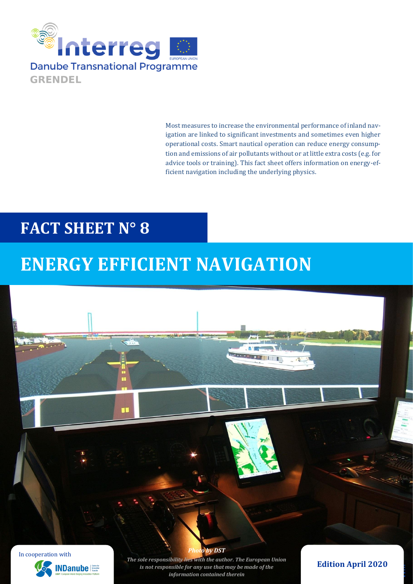

Most measures to increase the environmental performance of inland navigation are linked to significant investments and sometimes even higher operational costs. Smart nautical operation can reduce energy consumption and emissions of air pollutants without or at little extra costs (e.g. for advice tools or training). This fact sheet offers information on energy-efficient navigation including the underlying physics.

## **FACT SHEET N° 8**

# **ENERGY EFFICIENT NAVIGATION**

П





*The sole responsibility lies with the author. The European Union is not responsible for any use that may be made of the information contained therein*

*<i>Phy DST* 

### **Edition April 2020**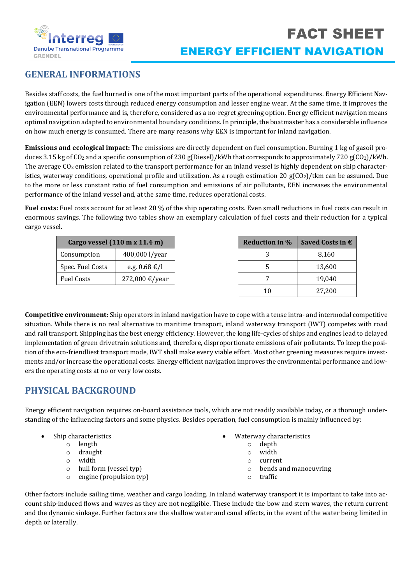

## **GENERAL INFORMATIONS**

Besides staff costs, the fuel burned is one of the most important parts of the operational expenditures. **E**nergy **E**fficient **N**avigation (EEN) lowers costs through reduced energy consumption and lesser engine wear. At the same time, it improves the environmental performance and is, therefore, considered as a no-regret greening option. Energy efficient navigation means optimal navigation adapted to environmental boundary conditions. In principle, the boatmaster has a considerable influence on how much energy is consumed. There are many reasons why EEN is important for inland navigation.

**Emissions and ecological impact:** The emissions are directly dependent on fuel consumption. Burning 1 kg of gasoil produces 3.15 kg of  $CO_2$  and a specific consumption of 230 g(Diesel)/kWh that corresponds to approximately 720 g( $CO_2$ )/kWh. The average  $CO<sub>2</sub>$  emission related to the transport performance for an inland vessel is highly dependent on ship characteristics, waterway conditions, operational profile and utilization. As a rough estimation 20  $g(CO<sub>2</sub>)/t$ km can be assumed. Due to the more or less constant ratio of fuel consumption and emissions of air pollutants, EEN increases the environmental performance of the inland vessel and, at the same time, reduces operational costs.

**Fuel costs:** Fuel costs account for at least 20 % of the ship operating costs. Even small reductions in fuel costs can result in enormous savings. The following two tables show an exemplary calculation of fuel costs and their reduction for a typical cargo vessel.

| Cargo vessel (110 m x 11.4 m) |                | <b>Reduction in %</b> | <b>Saved Costs</b> |
|-------------------------------|----------------|-----------------------|--------------------|
| Consumption                   | 400,000 l/year |                       |                    |
| Spec. Fuel Costs              | e.g. 0.68 €/l  |                       | 13,600             |
| Fuel Costs                    | 272,000 €/year |                       | 19,040             |
|                               |                | 10                    | 27,200             |

**Competitive environment:** Ship operators in inland navigation have to cope with a tense intra- and intermodal competitive situation. While there is no real alternative to maritime transport, inland waterway transport (IWT) competes with road and rail transport. Shipping has the best energy efficiency. However, the long life-cycles of ships and engines lead to delayed implementation of green drivetrain solutions and, therefore, disproportionate emissions of air pollutants. To keep the position of the eco-friendliest transport mode, IWT shall make every viable effort. Most other greening measures require investments and/or increase the operational costs. Energy efficient navigation improves the environmental performance and lowers the operating costs at no or very low costs.

## **PHYSICAL BACKGROUND**

Energy efficient navigation requires on-board assistance tools, which are not readily available today, or a thorough understanding of the influencing factors and some physics. Besides operation, fuel consumption is mainly influenced by:

- Ship characteristics
	- o length
	- o draught
	- o width
	- o hull form (vessel typ)
	- o engine (propulsion typ)
- Waterway characteristics
	- o depth
	- o width
	- o current
	- o bends and manoeuvring

**Reduction £ Costs in €** 

 $\circ$  traffic

Other factors include sailing time, weather and cargo loading. In inland waterway transport it is important to take into account ship-induced flows and waves as they are not negligible. These include the bow and stern waves, the return current and the dynamic sinkage. Further factors are the shallow water and canal effects, in the event of the water being limited in depth or laterally.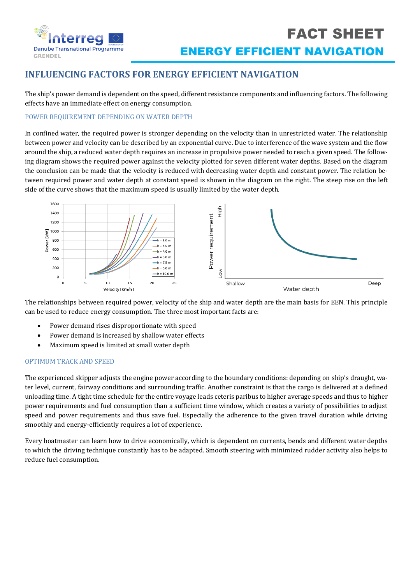

## **INFLUENCING FACTORS FOR ENERGY EFFICIENT NAVIGATION**

The ship's power demand is dependent on the speed, different resistance components and influencing factors. The following effects have an immediate effect on energy consumption.

#### POWER REQUIREMENT DEPENDING ON WATER DEPTH

In confined water, the required power is stronger depending on the velocity than in unrestricted water. The relationship between power and velocity can be described by an exponential curve. Due to interference of the wave system and the flow around the ship, a reduced water depth requires an increase in propulsive power needed to reach a given speed. The following diagram shows the required power against the velocity plotted for seven different water depths. Based on the diagram the conclusion can be made that the velocity is reduced with decreasing water depth and constant power. The relation between required power and water depth at constant speed is shown in the diagram on the right. The steep rise on the left side of the curve shows that the maximum speed is usually limited by the water depth.



The relationships between required power, velocity of the ship and water depth are the main basis for EEN. This principle can be used to reduce energy consumption. The three most important facts are:

- Power demand rises disproportionate with speed
- Power demand is increased by shallow water effects
- Maximum speed is limited at small water depth

#### OPTIMUM TRACK AND SPEED

The experienced skipper adjusts the engine power according to the boundary conditions: depending on ship's draught, water level, current, fairway conditions and surrounding traffic. Another constraint is that the cargo is delivered at a defined unloading time. A tight time schedule for the entire voyage leads ceteris paribus to higher average speeds and thus to higher power requirements and fuel consumption than a sufficient time window, which creates a variety of possibilities to adjust speed and power requirements and thus save fuel. Especially the adherence to the given travel duration while driving smoothly and energy-efficiently requires a lot of experience.

Every boatmaster can learn how to drive economically, which is dependent on currents, bends and different water depths to which the driving technique constantly has to be adapted. Smooth steering with minimized rudder activity also helps to reduce fuel consumption.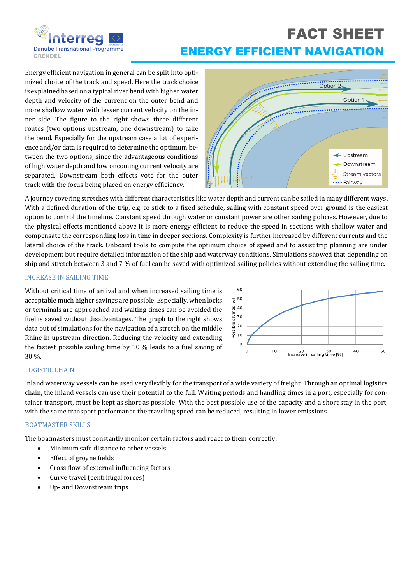

## FACT SHEET ENERGY EFFICIENT NAVIGATION

Energy efficient navigation in general can be split into optimized choice of the track and speed. Here the track choice is explained based on a typical river bend with higher water depth and velocity of the current on the outer bend and more shallow water with lesser current velocity on the inner side. The figure to the right shows three different routes (two options upstream, one downstream) to take the bend. Especially for the upstream case a lot of experience and/or data is required to determine the optimum between the two options, since the advantageous conditions of high water depth and low oncoming current velocity are separated. Downstream both effects vote for the outer track with the focus being placed on energy efficiency.



A journey covering stretches with different characteristics like water depth and current can be sailed in many different ways. With a defined duration of the trip, e.g. to stick to a fixed schedule, sailing with constant speed over ground is the easiest option to control the timeline. Constant speed through water or constant power are other sailing policies. However, due to the physical effects mentioned above it is more energy efficient to reduce the speed in sections with shallow water and compensate the corresponding loss in time in deeper sections. Complexity is further increased by different currents and the lateral choice of the track. Onboard tools to compute the optimum choice of speed and to assist trip planning are under development but require detailed information of the ship and waterway conditions. Simulations showed that depending on ship and stretch between 3 and 7 % of fuel can be saved with optimized sailing policies without extending the sailing time.

#### INCREASE IN SAILING TIME

Without critical time of arrival and when increased sailing time is acceptable much higher savings are possible. Especially, when locks or terminals are approached and waiting times can be avoided the fuel is saved without disadvantages. The graph to the right shows data out of simulations for the navigation of a stretch on the middle Rhine in upstream direction. Reducing the velocity and extending the fastest possible sailing time by 10 % leads to a fuel saving of 30 %.



#### LOGISTIC CHAIN

Inland waterway vessels can be used very flexibly for the transport of a wide variety of freight. Through an optimal logistics chain, the inland vessels can use their potential to the full. Waiting periods and handling times in a port, especially for container transport, must be kept as short as possible. With the best possible use of the capacity and a short stay in the port, with the same transport performance the traveling speed can be reduced, resulting in lower emissions.

#### BOATMASTER SKILLS

The boatmasters must constantly monitor certain factors and react to them correctly:

- Minimum safe distance to other vessels
- Effect of groyne fields
- Cross flow of external influencing factors
- Curve travel (centrifugal forces)
- Up- and Downstream trips